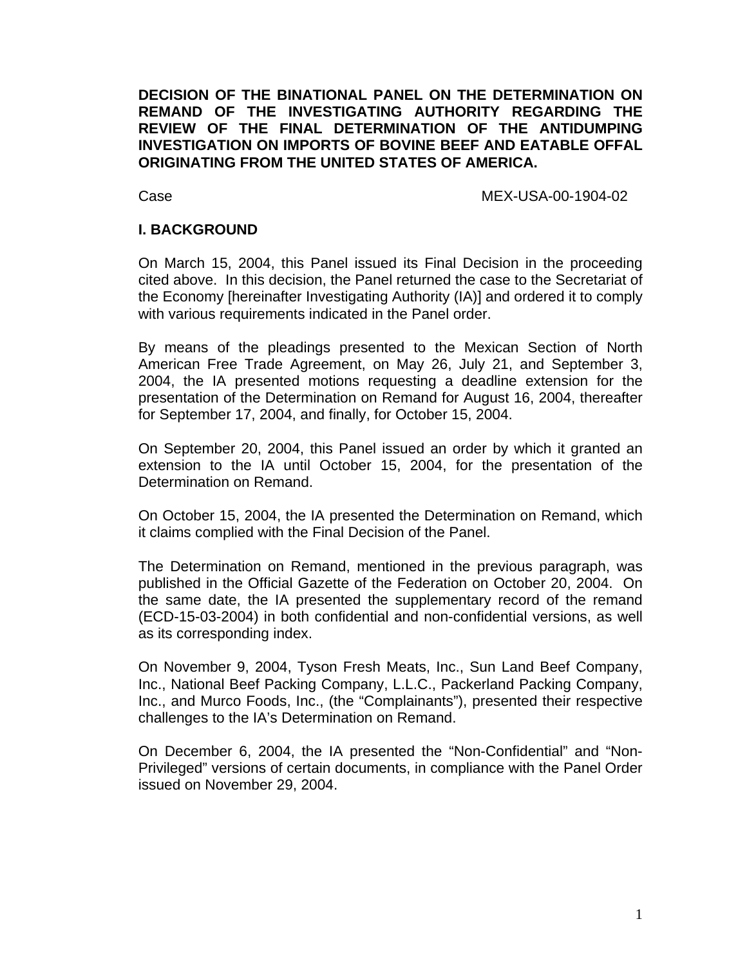**DECISION OF THE BINATIONAL PANEL ON THE DETERMINATION ON REMAND OF THE INVESTIGATING AUTHORITY REGARDING THE REVIEW OF THE FINAL DETERMINATION OF THE ANTIDUMPING INVESTIGATION ON IMPORTS OF BOVINE BEEF AND EATABLE OFFAL ORIGINATING FROM THE UNITED STATES OF AMERICA.** 

Case MEX-USA-00-1904-02

## **I. BACKGROUND**

On March 15, 2004, this Panel issued its Final Decision in the proceeding cited above. In this decision, the Panel returned the case to the Secretariat of the Economy [hereinafter Investigating Authority (IA)] and ordered it to comply with various requirements indicated in the Panel order.

By means of the pleadings presented to the Mexican Section of North American Free Trade Agreement, on May 26, July 21, and September 3, 2004, the IA presented motions requesting a deadline extension for the presentation of the Determination on Remand for August 16, 2004, thereafter for September 17, 2004, and finally, for October 15, 2004.

On September 20, 2004, this Panel issued an order by which it granted an extension to the IA until October 15, 2004, for the presentation of the Determination on Remand.

On October 15, 2004, the IA presented the Determination on Remand, which it claims complied with the Final Decision of the Panel.

The Determination on Remand, mentioned in the previous paragraph, was published in the Official Gazette of the Federation on October 20, 2004. On the same date, the IA presented the supplementary record of the remand (ECD-15-03-2004) in both confidential and non-confidential versions, as well as its corresponding index.

On November 9, 2004, Tyson Fresh Meats, Inc., Sun Land Beef Company, Inc., National Beef Packing Company, L.L.C., Packerland Packing Company, Inc., and Murco Foods, Inc., (the "Complainants"), presented their respective challenges to the IA's Determination on Remand.

On December 6, 2004, the IA presented the "Non-Confidential" and "Non-Privileged" versions of certain documents, in compliance with the Panel Order issued on November 29, 2004.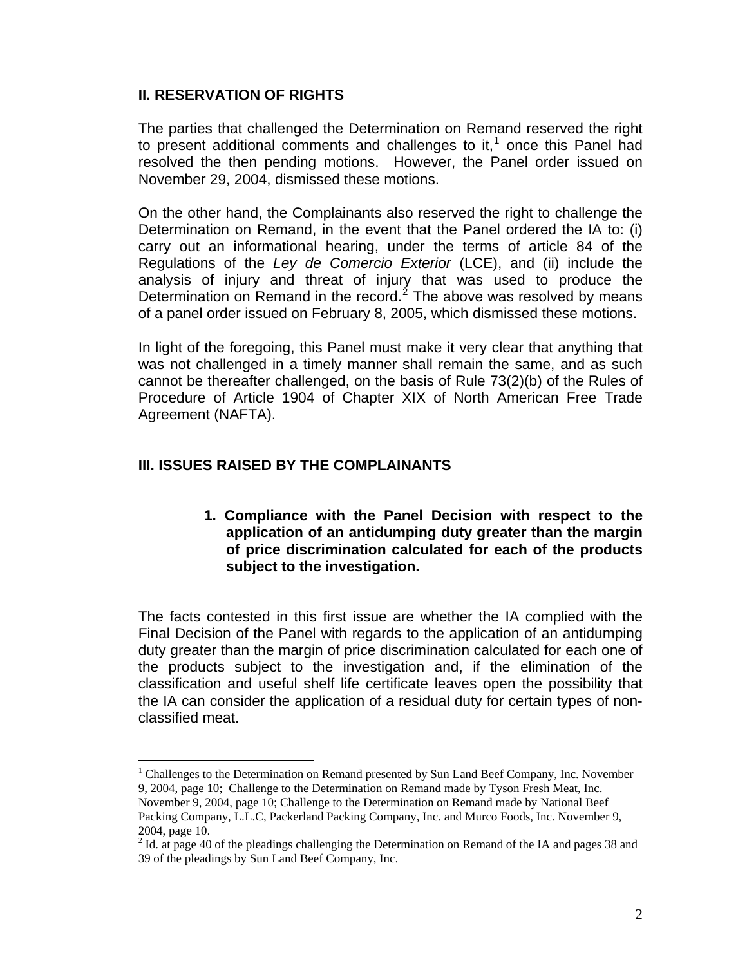# **II. RESERVATION OF RIGHTS**

The parties that challenged the Determination on Remand reserved the right to present additional comments and challenges to it, $<sup>1</sup>$  $<sup>1</sup>$  $<sup>1</sup>$  once this Panel had</sup> resolved the then pending motions. However, the Panel order issued on November 29, 2004, dismissed these motions.

On the other hand, the Complainants also reserved the right to challenge the Determination on Remand, in the event that the Panel ordered the IA to: (i) carry out an informational hearing, under the terms of article 84 of the Regulations of the *Ley de Comercio Exterior* (LCE), and (ii) include the analysis of injury and threat of injury that was used to produce the Determination on Remand in the record. $2$  The above was resolved by means of a panel order issued on February 8, 2005, which dismissed these motions.

In light of the foregoing, this Panel must make it very clear that anything that was not challenged in a timely manner shall remain the same, and as such cannot be thereafter challenged, on the basis of Rule 73(2)(b) of the Rules of Procedure of Article 1904 of Chapter XIX of North American Free Trade Agreement (NAFTA).

# **III. ISSUES RAISED BY THE COMPLAINANTS**

 $\overline{a}$ 

**1. Compliance with the Panel Decision with respect to the application of an antidumping duty greater than the margin of price discrimination calculated for each of the products subject to the investigation.** 

The facts contested in this first issue are whether the IA complied with the Final Decision of the Panel with regards to the application of an antidumping duty greater than the margin of price discrimination calculated for each one of the products subject to the investigation and, if the elimination of the classification and useful shelf life certificate leaves open the possibility that the IA can consider the application of a residual duty for certain types of nonclassified meat.

<span id="page-1-0"></span><sup>&</sup>lt;sup>1</sup> Challenges to the Determination on Remand presented by Sun Land Beef Company, Inc. November 9, 2004, page 10; Challenge to the Determination on Remand made by Tyson Fresh Meat, Inc.

November 9, 2004, page 10; Challenge to the Determination on Remand made by National Beef Packing Company, L.L.C, Packerland Packing Company, Inc. and Murco Foods, Inc. November 9, 2004, page 10.

<span id="page-1-1"></span> $2$  Id. at page 40 of the pleadings challenging the Determination on Remand of the IA and pages 38 and 39 of the pleadings by Sun Land Beef Company, Inc.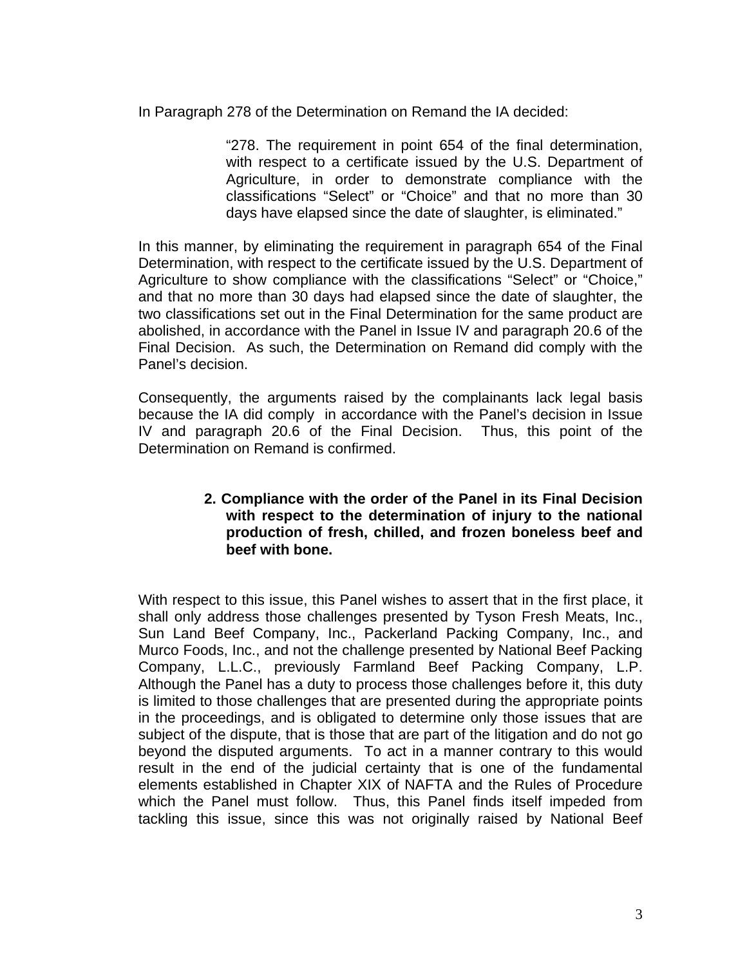In Paragraph 278 of the Determination on Remand the IA decided:

"278. The requirement in point 654 of the final determination, with respect to a certificate issued by the U.S. Department of Agriculture, in order to demonstrate compliance with the classifications "Select" or "Choice" and that no more than 30 days have elapsed since the date of slaughter, is eliminated."

In this manner, by eliminating the requirement in paragraph 654 of the Final Determination, with respect to the certificate issued by the U.S. Department of Agriculture to show compliance with the classifications "Select" or "Choice," and that no more than 30 days had elapsed since the date of slaughter, the two classifications set out in the Final Determination for the same product are abolished, in accordance with the Panel in Issue IV and paragraph 20.6 of the Final Decision. As such, the Determination on Remand did comply with the Panel's decision.

Consequently, the arguments raised by the complainants lack legal basis because the IA did comply in accordance with the Panel's decision in Issue IV and paragraph 20.6 of the Final Decision. Thus, this point of the Determination on Remand is confirmed.

## **2. Compliance with the order of the Panel in its Final Decision with respect to the determination of injury to the national production of fresh, chilled, and frozen boneless beef and beef with bone.**

With respect to this issue, this Panel wishes to assert that in the first place, it shall only address those challenges presented by Tyson Fresh Meats, Inc., Sun Land Beef Company, Inc., Packerland Packing Company, Inc., and Murco Foods, Inc., and not the challenge presented by National Beef Packing Company, L.L.C., previously Farmland Beef Packing Company, L.P. Although the Panel has a duty to process those challenges before it, this duty is limited to those challenges that are presented during the appropriate points in the proceedings, and is obligated to determine only those issues that are subject of the dispute, that is those that are part of the litigation and do not go beyond the disputed arguments. To act in a manner contrary to this would result in the end of the judicial certainty that is one of the fundamental elements established in Chapter XIX of NAFTA and the Rules of Procedure which the Panel must follow. Thus, this Panel finds itself impeded from tackling this issue, since this was not originally raised by National Beef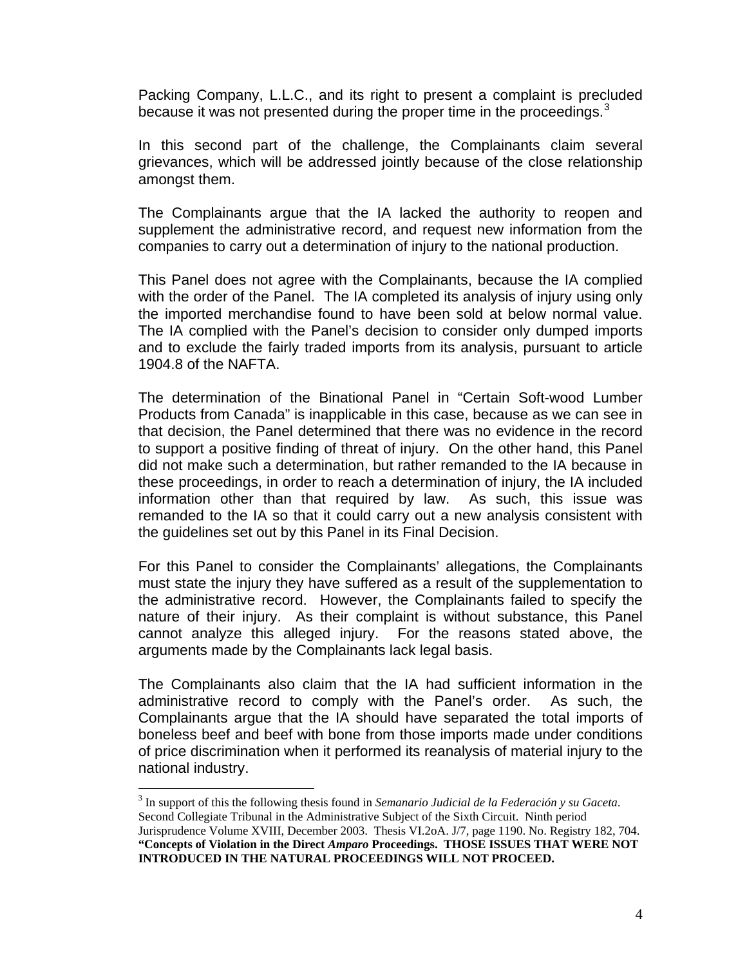Packing Company, L.L.C., and its right to present a complaint is precluded because it was not presented during the proper time in the proceedings. $3$ 

In this second part of the challenge, the Complainants claim several grievances, which will be addressed jointly because of the close relationship amongst them.

The Complainants argue that the IA lacked the authority to reopen and supplement the administrative record, and request new information from the companies to carry out a determination of injury to the national production.

This Panel does not agree with the Complainants, because the IA complied with the order of the Panel. The IA completed its analysis of injury using only the imported merchandise found to have been sold at below normal value. The IA complied with the Panel's decision to consider only dumped imports and to exclude the fairly traded imports from its analysis, pursuant to article 1904.8 of the NAFTA.

The determination of the Binational Panel in "Certain Soft-wood Lumber Products from Canada" is inapplicable in this case, because as we can see in that decision, the Panel determined that there was no evidence in the record to support a positive finding of threat of injury. On the other hand, this Panel did not make such a determination, but rather remanded to the IA because in these proceedings, in order to reach a determination of injury, the IA included information other than that required by law. As such, this issue was remanded to the IA so that it could carry out a new analysis consistent with the guidelines set out by this Panel in its Final Decision.

For this Panel to consider the Complainants' allegations, the Complainants must state the injury they have suffered as a result of the supplementation to the administrative record. However, the Complainants failed to specify the nature of their injury. As their complaint is without substance, this Panel cannot analyze this alleged injury. For the reasons stated above, the arguments made by the Complainants lack legal basis.

The Complainants also claim that the IA had sufficient information in the administrative record to comply with the Panel's order. As such, the Complainants argue that the IA should have separated the total imports of boneless beef and beef with bone from those imports made under conditions of price discrimination when it performed its reanalysis of material injury to the national industry.

 $\overline{a}$ 

<span id="page-3-0"></span><sup>3</sup> In support of this the following thesis found in *Semanario Judicial de la Federación y su Gaceta*. Second Collegiate Tribunal in the Administrative Subject of the Sixth Circuit. Ninth period Jurisprudence Volume XVIII, December 2003. Thesis VI.2oA. J/7, page 1190. No. Registry 182, 704. **"Concepts of Violation in the Direct** *Amparo* **Proceedings. THOSE ISSUES THAT WERE NOT INTRODUCED IN THE NATURAL PROCEEDINGS WILL NOT PROCEED.**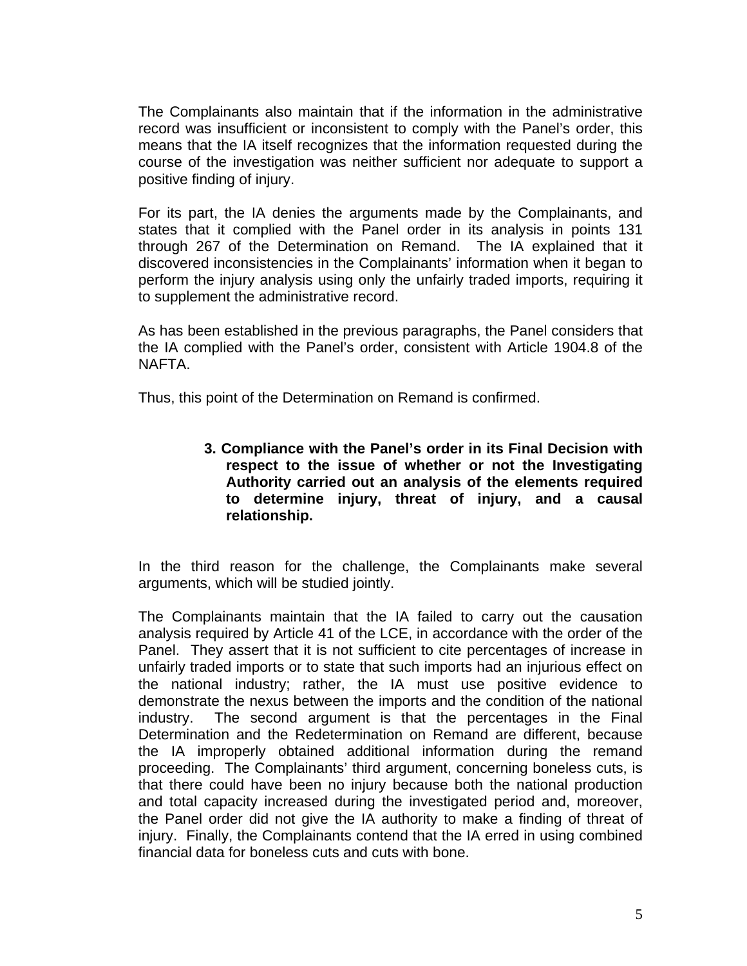The Complainants also maintain that if the information in the administrative record was insufficient or inconsistent to comply with the Panel's order, this means that the IA itself recognizes that the information requested during the course of the investigation was neither sufficient nor adequate to support a positive finding of injury.

For its part, the IA denies the arguments made by the Complainants, and states that it complied with the Panel order in its analysis in points 131 through 267 of the Determination on Remand. The IA explained that it discovered inconsistencies in the Complainants' information when it began to perform the injury analysis using only the unfairly traded imports, requiring it to supplement the administrative record.

As has been established in the previous paragraphs, the Panel considers that the IA complied with the Panel's order, consistent with Article 1904.8 of the NAFTA.

Thus, this point of the Determination on Remand is confirmed.

**3. Compliance with the Panel's order in its Final Decision with respect to the issue of whether or not the Investigating Authority carried out an analysis of the elements required to determine injury, threat of injury, and a causal relationship.** 

In the third reason for the challenge, the Complainants make several arguments, which will be studied jointly.

The Complainants maintain that the IA failed to carry out the causation analysis required by Article 41 of the LCE, in accordance with the order of the Panel. They assert that it is not sufficient to cite percentages of increase in unfairly traded imports or to state that such imports had an injurious effect on the national industry; rather, the IA must use positive evidence to demonstrate the nexus between the imports and the condition of the national industry. The second argument is that the percentages in the Final Determination and the Redetermination on Remand are different, because the IA improperly obtained additional information during the remand proceeding. The Complainants' third argument, concerning boneless cuts, is that there could have been no injury because both the national production and total capacity increased during the investigated period and, moreover, the Panel order did not give the IA authority to make a finding of threat of injury. Finally, the Complainants contend that the IA erred in using combined financial data for boneless cuts and cuts with bone.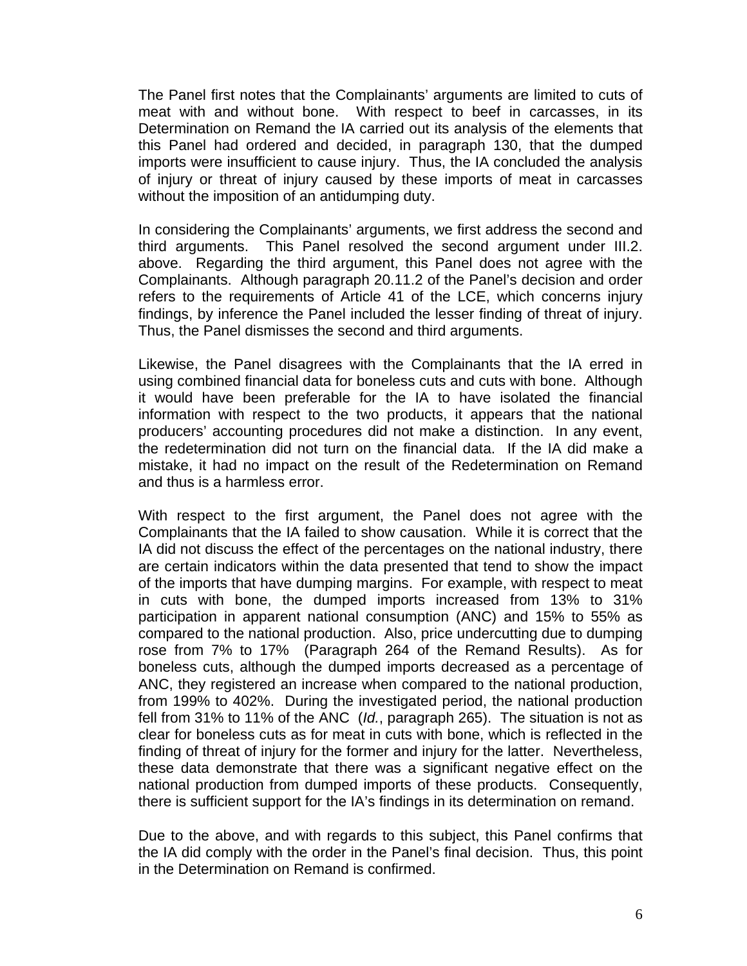The Panel first notes that the Complainants' arguments are limited to cuts of meat with and without bone. With respect to beef in carcasses, in its Determination on Remand the IA carried out its analysis of the elements that this Panel had ordered and decided, in paragraph 130, that the dumped imports were insufficient to cause injury. Thus, the IA concluded the analysis of injury or threat of injury caused by these imports of meat in carcasses without the imposition of an antidumping duty.

In considering the Complainants' arguments, we first address the second and third arguments. This Panel resolved the second argument under III.2. above. Regarding the third argument, this Panel does not agree with the Complainants. Although paragraph 20.11.2 of the Panel's decision and order refers to the requirements of Article 41 of the LCE, which concerns injury findings, by inference the Panel included the lesser finding of threat of injury. Thus, the Panel dismisses the second and third arguments.

Likewise, the Panel disagrees with the Complainants that the IA erred in using combined financial data for boneless cuts and cuts with bone. Although it would have been preferable for the IA to have isolated the financial information with respect to the two products, it appears that the national producers' accounting procedures did not make a distinction. In any event, the redetermination did not turn on the financial data. If the IA did make a mistake, it had no impact on the result of the Redetermination on Remand and thus is a harmless error.

With respect to the first argument, the Panel does not agree with the Complainants that the IA failed to show causation. While it is correct that the IA did not discuss the effect of the percentages on the national industry, there are certain indicators within the data presented that tend to show the impact of the imports that have dumping margins. For example, with respect to meat in cuts with bone, the dumped imports increased from 13% to 31% participation in apparent national consumption (ANC) and 15% to 55% as compared to the national production. Also, price undercutting due to dumping rose from 7% to 17% (Paragraph 264 of the Remand Results). As for boneless cuts, although the dumped imports decreased as a percentage of ANC, they registered an increase when compared to the national production, from 199% to 402%. During the investigated period, the national production fell from 31% to 11% of the ANC (*Id.*, paragraph 265). The situation is not as clear for boneless cuts as for meat in cuts with bone, which is reflected in the finding of threat of injury for the former and injury for the latter. Nevertheless, these data demonstrate that there was a significant negative effect on the national production from dumped imports of these products. Consequently, there is sufficient support for the IA's findings in its determination on remand.

Due to the above, and with regards to this subject, this Panel confirms that the IA did comply with the order in the Panel's final decision. Thus, this point in the Determination on Remand is confirmed.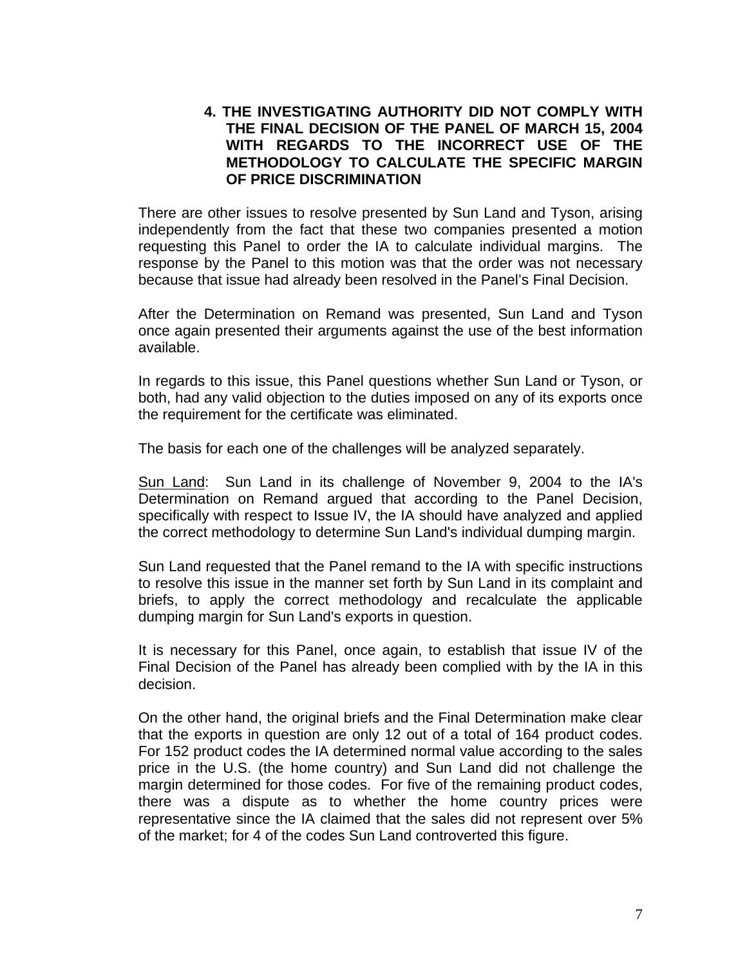# **4. THE INVESTIGATING AUTHORITY DID NOT COMPLY WITH THE FINAL DECISION OF THE PANEL OF MARCH 15, 2004 WITH REGARDS TO THE INCORRECT USE OF THE METHODOLOGY TO CALCULATE THE SPECIFIC MARGIN OF PRICE DISCRIMINATION**

There are other issues to resolve presented by Sun Land and Tyson, arising independently from the fact that these two companies presented a motion requesting this Panel to order the IA to calculate individual margins. The response by the Panel to this motion was that the order was not necessary because that issue had already been resolved in the Panel's Final Decision.

After the Determination on Remand was presented, Sun Land and Tyson once again presented their arguments against the use of the best information available.

In regards to this issue, this Panel questions whether Sun Land or Tyson, or both, had any valid objection to the duties imposed on any of its exports once the requirement for the certificate was eliminated.

The basis for each one of the challenges will be analyzed separately.

Sun Land: Sun Land in its challenge of November 9, 2004 to the IA's Determination on Remand argued that according to the Panel Decision, specifically with respect to Issue IV, the IA should have analyzed and applied the correct methodology to determine Sun Land's individual dumping margin.

Sun Land requested that the Panel remand to the IA with specific instructions to resolve this issue in the manner set forth by Sun Land in its complaint and briefs, to apply the correct methodology and recalculate the applicable dumping margin for Sun Land's exports in question.

It is necessary for this Panel, once again, to establish that issue IV of the Final Decision of the Panel has already been complied with by the IA in this decision.

On the other hand, the original briefs and the Final Determination make clear that the exports in question are only 12 out of a total of 164 product codes. For 152 product codes the IA determined normal value according to the sales price in the U.S. (the home country) and Sun Land did not challenge the margin determined for those codes. For five of the remaining product codes, there was a dispute as to whether the home country prices were representative since the IA claimed that the sales did not represent over 5% of the market; for 4 of the codes Sun Land controverted this figure.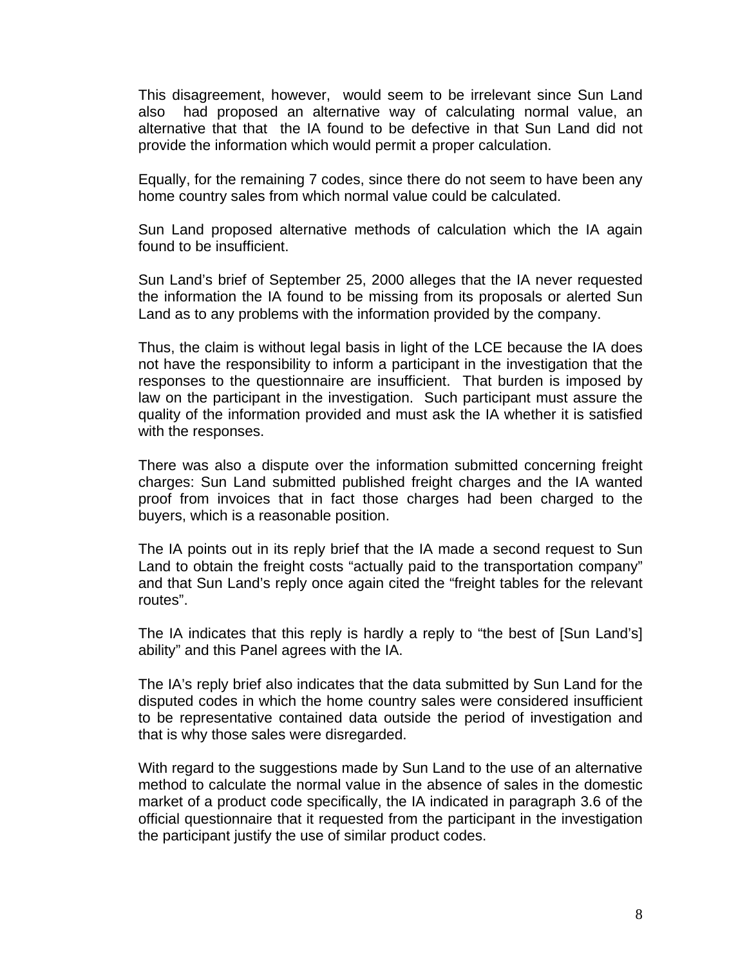This disagreement, however, would seem to be irrelevant since Sun Land also had proposed an alternative way of calculating normal value, an alternative that that the IA found to be defective in that Sun Land did not provide the information which would permit a proper calculation.

Equally, for the remaining 7 codes, since there do not seem to have been any home country sales from which normal value could be calculated.

Sun Land proposed alternative methods of calculation which the IA again found to be insufficient.

Sun Land's brief of September 25, 2000 alleges that the IA never requested the information the IA found to be missing from its proposals or alerted Sun Land as to any problems with the information provided by the company.

Thus, the claim is without legal basis in light of the LCE because the IA does not have the responsibility to inform a participant in the investigation that the responses to the questionnaire are insufficient. That burden is imposed by law on the participant in the investigation. Such participant must assure the quality of the information provided and must ask the IA whether it is satisfied with the responses.

There was also a dispute over the information submitted concerning freight charges: Sun Land submitted published freight charges and the IA wanted proof from invoices that in fact those charges had been charged to the buyers, which is a reasonable position.

The IA points out in its reply brief that the IA made a second request to Sun Land to obtain the freight costs "actually paid to the transportation company" and that Sun Land's reply once again cited the "freight tables for the relevant routes".

The IA indicates that this reply is hardly a reply to "the best of [Sun Land's] ability" and this Panel agrees with the IA.

The IA's reply brief also indicates that the data submitted by Sun Land for the disputed codes in which the home country sales were considered insufficient to be representative contained data outside the period of investigation and that is why those sales were disregarded.

With regard to the suggestions made by Sun Land to the use of an alternative method to calculate the normal value in the absence of sales in the domestic market of a product code specifically, the IA indicated in paragraph 3.6 of the official questionnaire that it requested from the participant in the investigation the participant justify the use of similar product codes.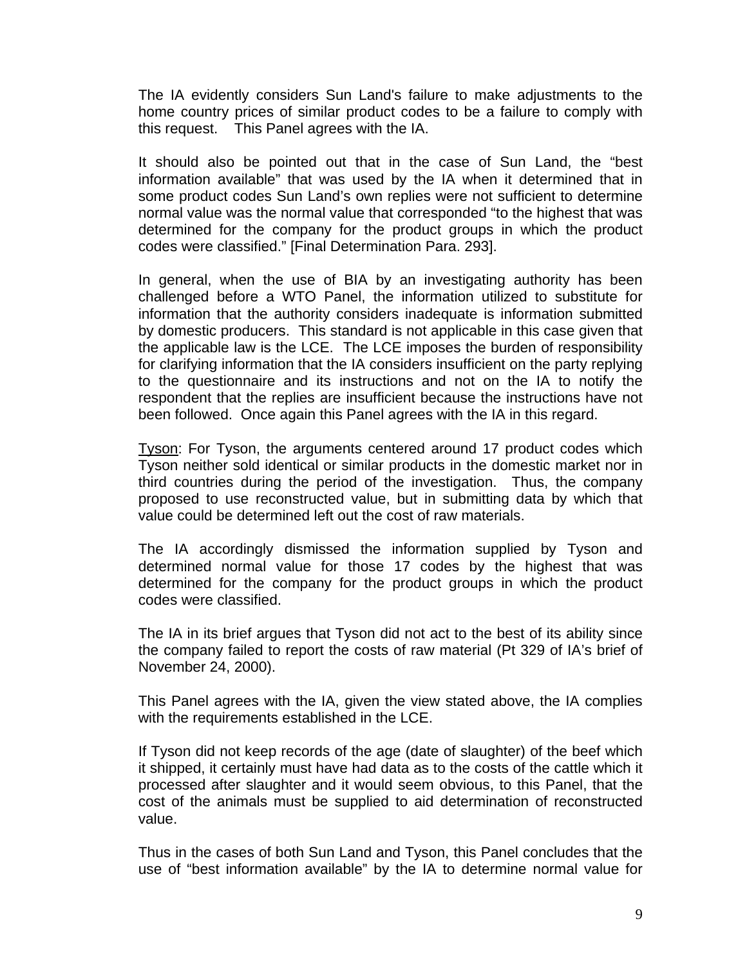The IA evidently considers Sun Land's failure to make adjustments to the home country prices of similar product codes to be a failure to comply with this request. This Panel agrees with the IA.

It should also be pointed out that in the case of Sun Land, the "best information available" that was used by the IA when it determined that in some product codes Sun Land's own replies were not sufficient to determine normal value was the normal value that corresponded "to the highest that was determined for the company for the product groups in which the product codes were classified." [Final Determination Para. 293].

In general, when the use of BIA by an investigating authority has been challenged before a WTO Panel, the information utilized to substitute for information that the authority considers inadequate is information submitted by domestic producers. This standard is not applicable in this case given that the applicable law is the LCE. The LCE imposes the burden of responsibility for clarifying information that the IA considers insufficient on the party replying to the questionnaire and its instructions and not on the IA to notify the respondent that the replies are insufficient because the instructions have not been followed. Once again this Panel agrees with the IA in this regard.

Tyson: For Tyson, the arguments centered around 17 product codes which Tyson neither sold identical or similar products in the domestic market nor in third countries during the period of the investigation. Thus, the company proposed to use reconstructed value, but in submitting data by which that value could be determined left out the cost of raw materials.

The IA accordingly dismissed the information supplied by Tyson and determined normal value for those 17 codes by the highest that was determined for the company for the product groups in which the product codes were classified.

The IA in its brief argues that Tyson did not act to the best of its ability since the company failed to report the costs of raw material (Pt 329 of IA's brief of November 24, 2000).

This Panel agrees with the IA, given the view stated above, the IA complies with the requirements established in the LCE.

If Tyson did not keep records of the age (date of slaughter) of the beef which it shipped, it certainly must have had data as to the costs of the cattle which it processed after slaughter and it would seem obvious, to this Panel, that the cost of the animals must be supplied to aid determination of reconstructed value.

Thus in the cases of both Sun Land and Tyson, this Panel concludes that the use of "best information available" by the IA to determine normal value for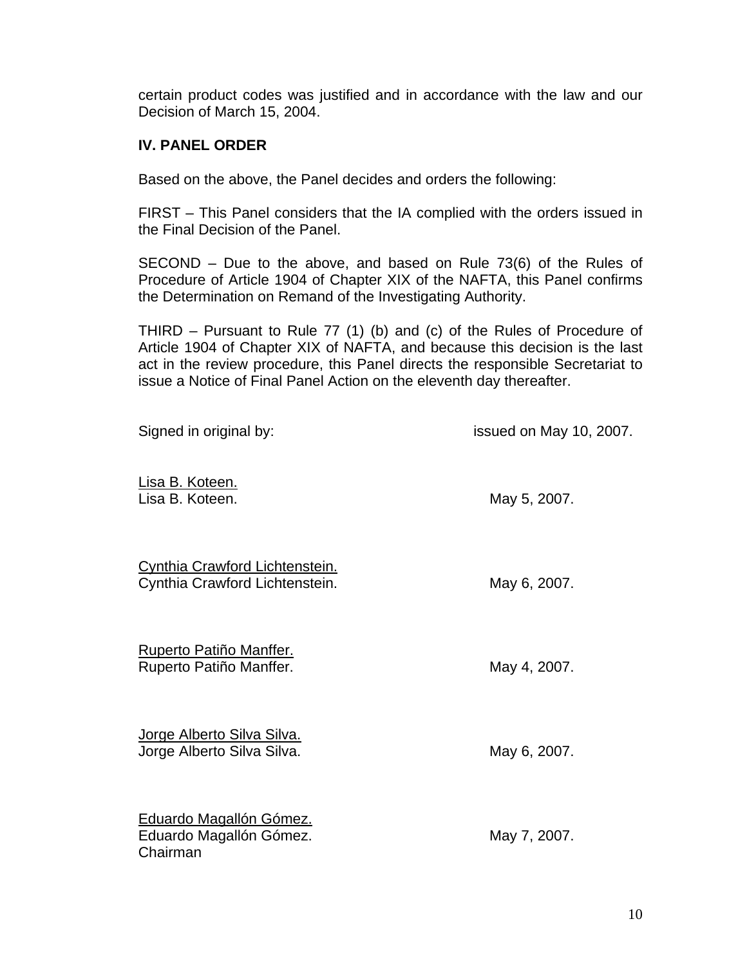certain product codes was justified and in accordance with the law and our Decision of March 15, 2004.

# **IV. PANEL ORDER**

Based on the above, the Panel decides and orders the following:

FIRST – This Panel considers that the IA complied with the orders issued in the Final Decision of the Panel.

SECOND – Due to the above, and based on Rule 73(6) of the Rules of Procedure of Article 1904 of Chapter XIX of the NAFTA, this Panel confirms the Determination on Remand of the Investigating Authority.

THIRD – Pursuant to Rule 77 (1) (b) and (c) of the Rules of Procedure of Article 1904 of Chapter XIX of NAFTA, and because this decision is the last act in the review procedure, this Panel directs the responsible Secretariat to issue a Notice of Final Panel Action on the eleventh day thereafter.

| Signed in original by:                                                  | issued on May 10, 2007. |
|-------------------------------------------------------------------------|-------------------------|
| Lisa B. Koteen.<br>Lisa B. Koteen.                                      | May 5, 2007.            |
| <b>Cynthia Crawford Lichtenstein.</b><br>Cynthia Crawford Lichtenstein. | May 6, 2007.            |
| <b>Ruperto Patiño Manffer.</b><br>Ruperto Patiño Manffer.               | May 4, 2007.            |
| <u>Jorge Alberto Silva Silva.</u><br>Jorge Alberto Silva Silva.         | May 6, 2007.            |
| Eduardo Magallón Gómez.<br>Eduardo Magallón Gómez.<br>Chairman          | May 7, 2007.            |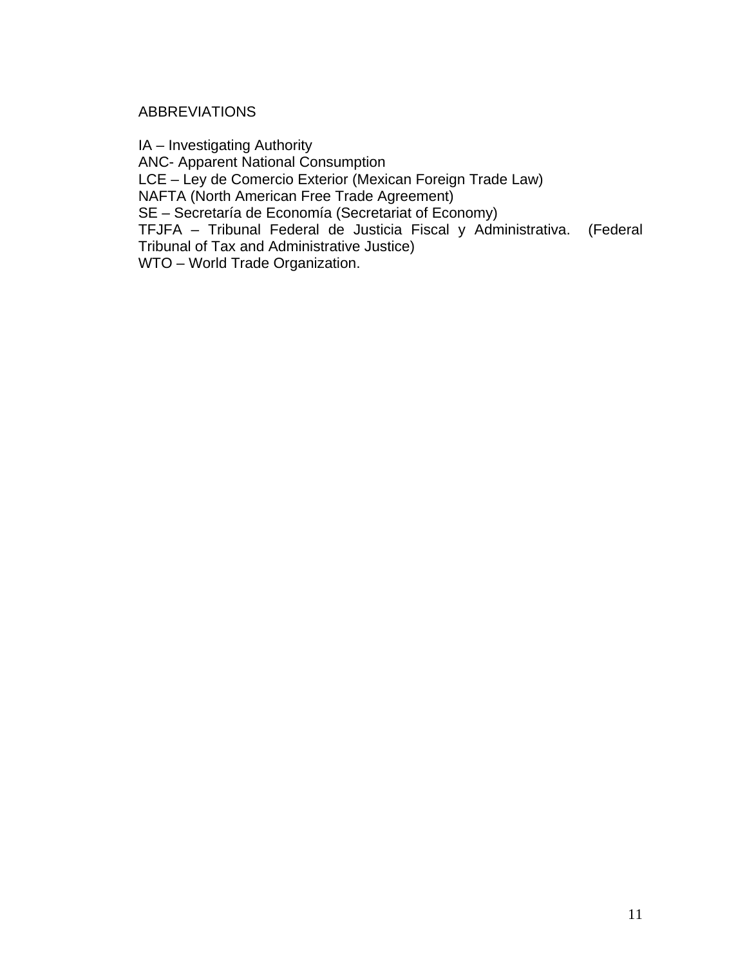## ABBREVIATIONS

IA – Investigating Authority ANC- Apparent National Consumption LCE – Ley de Comercio Exterior (Mexican Foreign Trade Law) NAFTA (North American Free Trade Agreement) SE – Secretaría de Economía (Secretariat of Economy) TFJFA – Tribunal Federal de Justicia Fiscal y Administrativa. (Federal Tribunal of Tax and Administrative Justice) WTO – World Trade Organization.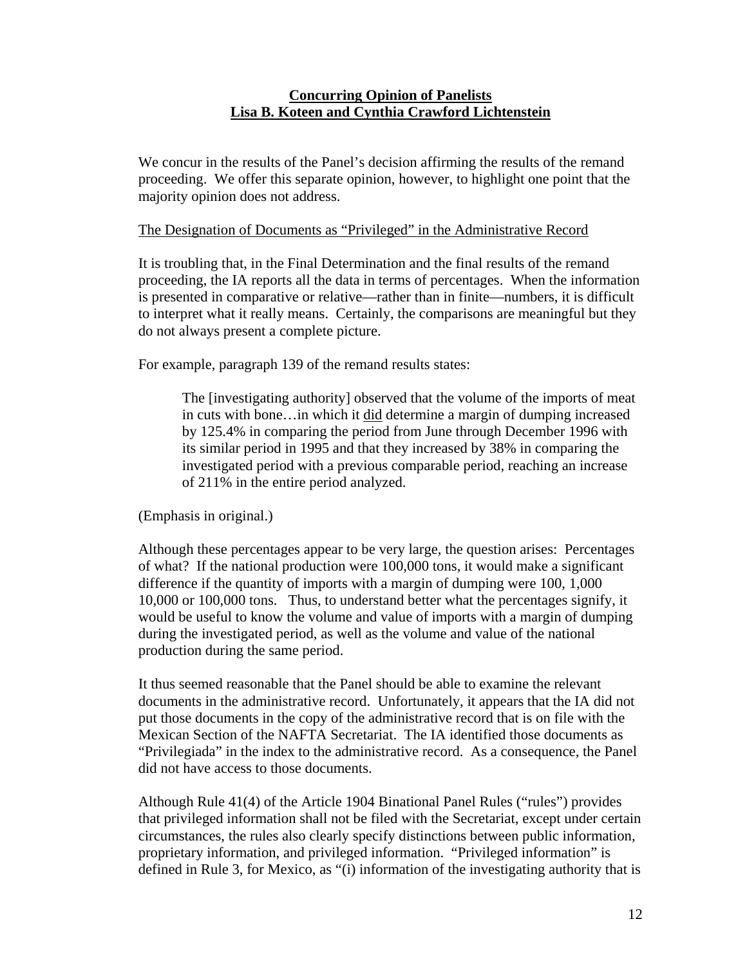## **Concurring Opinion of Panelists Lisa B. Koteen and Cynthia Crawford Lichtenstein**

We concur in the results of the Panel's decision affirming the results of the remand proceeding. We offer this separate opinion, however, to highlight one point that the majority opinion does not address.

### The Designation of Documents as "Privileged" in the Administrative Record

It is troubling that, in the Final Determination and the final results of the remand proceeding, the IA reports all the data in terms of percentages. When the information is presented in comparative or relative—rather than in finite—numbers, it is difficult to interpret what it really means. Certainly, the comparisons are meaningful but they do not always present a complete picture.

For example, paragraph 139 of the remand results states:

The [investigating authority] observed that the volume of the imports of meat in cuts with bone…in which it did determine a margin of dumping increased by 125.4% in comparing the period from June through December 1996 with its similar period in 1995 and that they increased by 38% in comparing the investigated period with a previous comparable period, reaching an increase of 211% in the entire period analyzed.

(Emphasis in original.)

Although these percentages appear to be very large, the question arises: Percentages of what? If the national production were 100,000 tons, it would make a significant difference if the quantity of imports with a margin of dumping were 100, 1,000 10,000 or 100,000 tons. Thus, to understand better what the percentages signify, it would be useful to know the volume and value of imports with a margin of dumping during the investigated period, as well as the volume and value of the national production during the same period.

It thus seemed reasonable that the Panel should be able to examine the relevant documents in the administrative record. Unfortunately, it appears that the IA did not put those documents in the copy of the administrative record that is on file with the Mexican Section of the NAFTA Secretariat. The IA identified those documents as "Privilegiada" in the index to the administrative record. As a consequence, the Panel did not have access to those documents.

Although Rule 41(4) of the Article 1904 Binational Panel Rules ("rules") provides that privileged information shall not be filed with the Secretariat, except under certain circumstances, the rules also clearly specify distinctions between public information, proprietary information, and privileged information. "Privileged information" is defined in Rule 3, for Mexico, as "(i) information of the investigating authority that is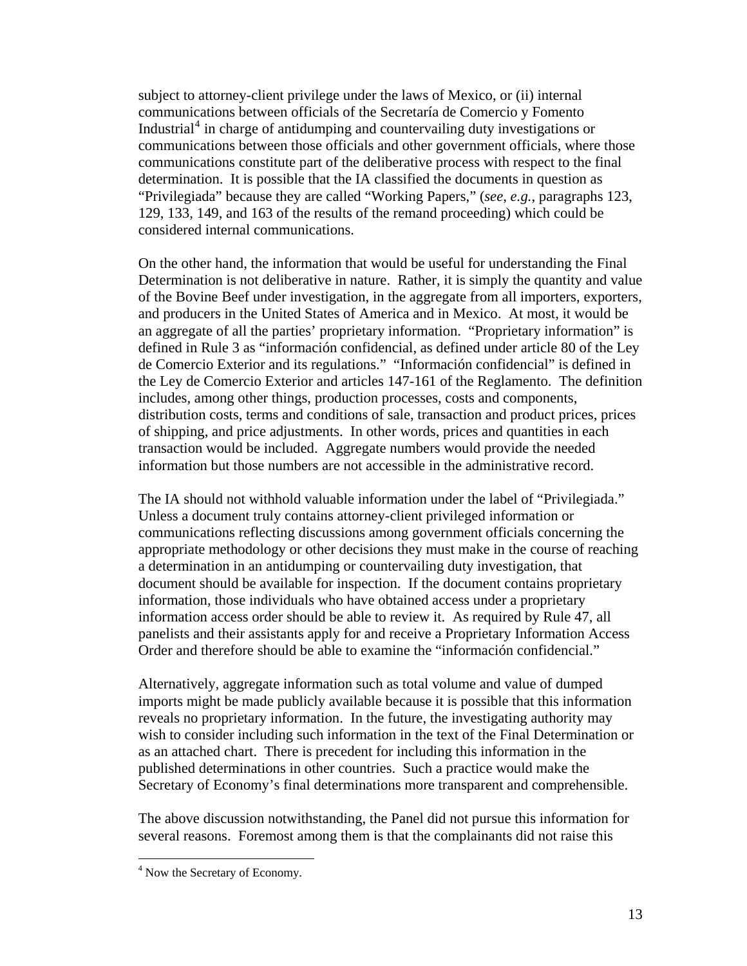subject to attorney-client privilege under the laws of Mexico, or (ii) internal communications between officials of the Secretaría de Comercio y Fomento Industrial<sup>[4](#page-12-0)</sup> in charge of antidumping and countervailing duty investigations or communications between those officials and other government officials, where those communications constitute part of the deliberative process with respect to the final determination. It is possible that the IA classified the documents in question as "Privilegiada" because they are called "Working Papers," (*see*, *e.g.*, paragraphs 123, 129, 133, 149, and 163 of the results of the remand proceeding) which could be considered internal communications.

On the other hand, the information that would be useful for understanding the Final Determination is not deliberative in nature. Rather, it is simply the quantity and value of the Bovine Beef under investigation, in the aggregate from all importers, exporters, and producers in the United States of America and in Mexico. At most, it would be an aggregate of all the parties' proprietary information. "Proprietary information" is defined in Rule 3 as "información confidencial, as defined under article 80 of the Ley de Comercio Exterior and its regulations." "Información confidencial" is defined in the Ley de Comercio Exterior and articles 147-161 of the Reglamento. The definition includes, among other things, production processes, costs and components, distribution costs, terms and conditions of sale, transaction and product prices, prices of shipping, and price adjustments. In other words, prices and quantities in each transaction would be included. Aggregate numbers would provide the needed information but those numbers are not accessible in the administrative record.

The IA should not withhold valuable information under the label of "Privilegiada." Unless a document truly contains attorney-client privileged information or communications reflecting discussions among government officials concerning the appropriate methodology or other decisions they must make in the course of reaching a determination in an antidumping or countervailing duty investigation, that document should be available for inspection. If the document contains proprietary information, those individuals who have obtained access under a proprietary information access order should be able to review it. As required by Rule 47, all panelists and their assistants apply for and receive a Proprietary Information Access Order and therefore should be able to examine the "información confidencial."

Alternatively, aggregate information such as total volume and value of dumped imports might be made publicly available because it is possible that this information reveals no proprietary information. In the future, the investigating authority may wish to consider including such information in the text of the Final Determination or as an attached chart. There is precedent for including this information in the published determinations in other countries. Such a practice would make the Secretary of Economy's final determinations more transparent and comprehensible.

The above discussion notwithstanding, the Panel did not pursue this information for several reasons. Foremost among them is that the complainants did not raise this

<span id="page-12-0"></span> 4 Now the Secretary of Economy.